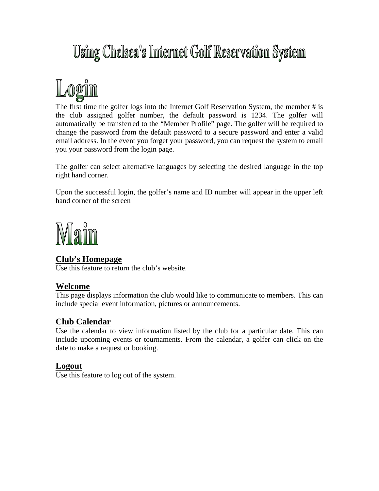# Using Chelsea's Internet Golf Reservation System



The first time the golfer logs into the Internet Golf Reservation System, the member # is the club assigned golfer number, the default password is 1234. The golfer will automatically be transferred to the "Member Profile" page. The golfer will be required to change the password from the default password to a secure password and enter a valid email address. In the event you forget your password, you can request the system to email you your password from the login page.

The golfer can select alternative languages by selecting the desired language in the top right hand corner.

Upon the successful login, the golfer's name and ID number will appear in the upper left hand corner of the screen



# **Club's Homepage**

Use this feature to return the club's website.

## **Welcome**

This page displays information the club would like to communicate to members. This can include special event information, pictures or announcements.

# **Club Calendar**

Use the calendar to view information listed by the club for a particular date. This can include upcoming events or tournaments. From the calendar, a golfer can click on the date to make a request or booking.

# **Logout**

Use this feature to log out of the system.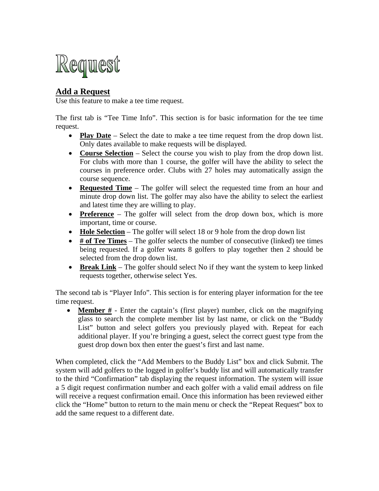

# **Add a Request**

Use this feature to make a tee time request.

The first tab is "Tee Time Info". This section is for basic information for the tee time request.

- **Play Date** Select the date to make a tee time request from the drop down list. Only dates available to make requests will be displayed.
- **Course Selection** Select the course you wish to play from the drop down list. For clubs with more than 1 course, the golfer will have the ability to select the courses in preference order. Clubs with 27 holes may automatically assign the course sequence.
- **Requested Time** The golfer will select the requested time from an hour and minute drop down list. The golfer may also have the ability to select the earliest and latest time they are willing to play.
- **Preference** The golfer will select from the drop down box, which is more important, time or course.
- **Hole Selection** The golfer will select 18 or 9 hole from the drop down list
- **# of Tee Times** The golfer selects the number of consecutive (linked) tee times being requested. If a golfer wants 8 golfers to play together then 2 should be selected from the drop down list.
- **Break Link** The golfer should select No if they want the system to keep linked requests together, otherwise select Yes.

The second tab is "Player Info". This section is for entering player information for the tee time request.

• **Member #** - Enter the captain's (first player) number, click on the magnifying glass to search the complete member list by last name, or click on the "Buddy List" button and select golfers you previously played with. Repeat for each additional player. If you're bringing a guest, select the correct guest type from the guest drop down box then enter the guest's first and last name.

When completed, click the "Add Members to the Buddy List" box and click Submit. The system will add golfers to the logged in golfer's buddy list and will automatically transfer to the third "Confirmation" tab displaying the request information. The system will issue a 5 digit request confirmation number and each golfer with a valid email address on file will receive a request confirmation email. Once this information has been reviewed either click the "Home" button to return to the main menu or check the "Repeat Request" box to add the same request to a different date.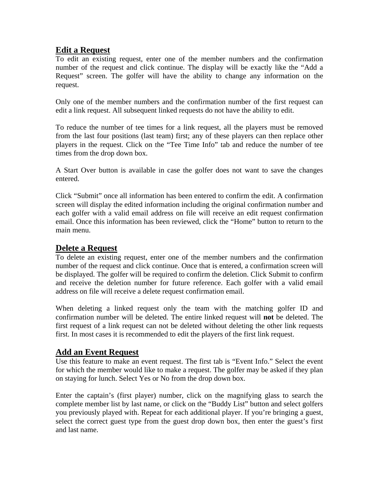## **Edit a Request**

To edit an existing request, enter one of the member numbers and the confirmation number of the request and click continue. The display will be exactly like the "Add a Request" screen. The golfer will have the ability to change any information on the request.

Only one of the member numbers and the confirmation number of the first request can edit a link request. All subsequent linked requests do not have the ability to edit.

To reduce the number of tee times for a link request, all the players must be removed from the last four positions (last team) first; any of these players can then replace other players in the request. Click on the "Tee Time Info" tab and reduce the number of tee times from the drop down box.

A Start Over button is available in case the golfer does not want to save the changes entered.

Click "Submit" once all information has been entered to confirm the edit. A confirmation screen will display the edited information including the original confirmation number and each golfer with a valid email address on file will receive an edit request confirmation email. Once this information has been reviewed, click the "Home" button to return to the main menu.

# **Delete a Request**

To delete an existing request, enter one of the member numbers and the confirmation number of the request and click continue. Once that is entered, a confirmation screen will be displayed. The golfer will be required to confirm the deletion. Click Submit to confirm and receive the deletion number for future reference. Each golfer with a valid email address on file will receive a delete request confirmation email.

When deleting a linked request only the team with the matching golfer ID and confirmation number will be deleted. The entire linked request will **not** be deleted. The first request of a link request can not be deleted without deleting the other link requests first. In most cases it is recommended to edit the players of the first link request.

# **Add an Event Request**

Use this feature to make an event request. The first tab is "Event Info." Select the event for which the member would like to make a request. The golfer may be asked if they plan on staying for lunch. Select Yes or No from the drop down box.

Enter the captain's (first player) number, click on the magnifying glass to search the complete member list by last name, or click on the "Buddy List" button and select golfers you previously played with. Repeat for each additional player. If you're bringing a guest, select the correct guest type from the guest drop down box, then enter the guest's first and last name.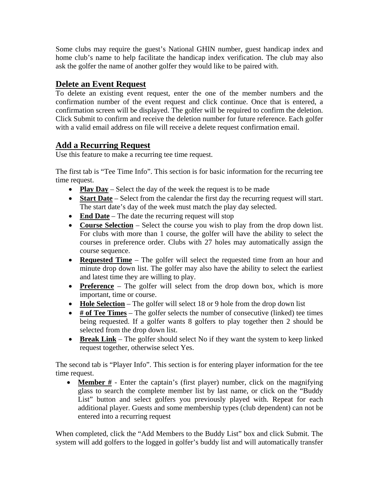Some clubs may require the guest's National GHIN number, guest handicap index and home club's name to help facilitate the handicap index verification. The club may also ask the golfer the name of another golfer they would like to be paired with.

## **Delete an Event Request**

To delete an existing event request, enter the one of the member numbers and the confirmation number of the event request and click continue. Once that is entered, a confirmation screen will be displayed. The golfer will be required to confirm the deletion. Click Submit to confirm and receive the deletion number for future reference. Each golfer with a valid email address on file will receive a delete request confirmation email.

## **Add a Recurring Request**

Use this feature to make a recurring tee time request.

The first tab is "Tee Time Info". This section is for basic information for the recurring tee time request.

- **Play Day** Select the day of the week the request is to be made
- **Start Date** Select from the calendar the first day the recurring request will start. The start date's day of the week must match the play day selected.
- **End Date** The date the recurring request will stop
- **Course Selection** Select the course you wish to play from the drop down list. For clubs with more than 1 course, the golfer will have the ability to select the courses in preference order. Clubs with 27 holes may automatically assign the course sequence.
- **Requested Time** The golfer will select the requested time from an hour and minute drop down list. The golfer may also have the ability to select the earliest and latest time they are willing to play.
- **Preference** The golfer will select from the drop down box, which is more important, time or course.
- **Hole Selection** The golfer will select 18 or 9 hole from the drop down list
- **# of Tee Times** The golfer selects the number of consecutive (linked) tee times being requested. If a golfer wants 8 golfers to play together then 2 should be selected from the drop down list.
- **Break Link** The golfer should select No if they want the system to keep linked request together, otherwise select Yes.

The second tab is "Player Info". This section is for entering player information for the tee time request.

• **Member #** - Enter the captain's (first player) number, click on the magnifying glass to search the complete member list by last name, or click on the "Buddy List" button and select golfers you previously played with. Repeat for each additional player. Guests and some membership types (club dependent) can not be entered into a recurring request

When completed, click the "Add Members to the Buddy List" box and click Submit. The system will add golfers to the logged in golfer's buddy list and will automatically transfer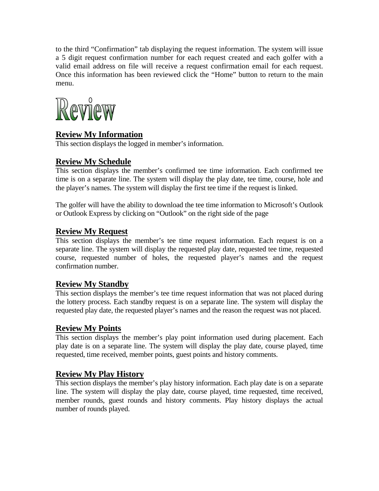to the third "Confirmation" tab displaying the request information. The system will issue a 5 digit request confirmation number for each request created and each golfer with a valid email address on file will receive a request confirmation email for each request. Once this information has been reviewed click the "Home" button to return to the main menu.



# **Review My Information**

This section displays the logged in member's information.

# **Review My Schedule**

This section displays the member's confirmed tee time information. Each confirmed tee time is on a separate line. The system will display the play date, tee time, course, hole and the player's names. The system will display the first tee time if the request is linked.

The golfer will have the ability to download the tee time information to Microsoft's Outlook or Outlook Express by clicking on "Outlook" on the right side of the page

# **Review My Request**

This section displays the member's tee time request information. Each request is on a separate line. The system will display the requested play date, requested tee time, requested course, requested number of holes, the requested player's names and the request confirmation number.

# **Review My Standby**

This section displays the member's tee time request information that was not placed during the lottery process. Each standby request is on a separate line. The system will display the requested play date, the requested player's names and the reason the request was not placed.

# **Review My Points**

This section displays the member's play point information used during placement. Each play date is on a separate line. The system will display the play date, course played, time requested, time received, member points, guest points and history comments.

# **Review My Play History**

This section displays the member's play history information. Each play date is on a separate line. The system will display the play date, course played, time requested, time received, member rounds, guest rounds and history comments. Play history displays the actual number of rounds played.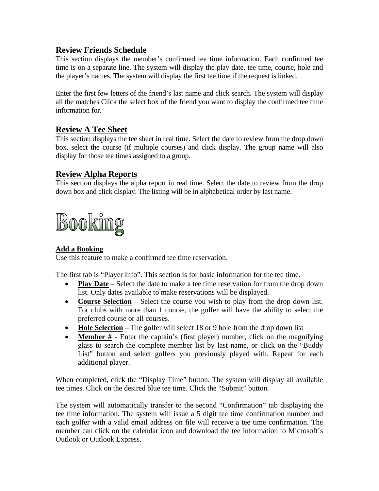# **Review Friends Schedule**

This section displays the member's confirmed tee time information. Each confirmed tee time is on a separate line. The system will display the play date, tee time, course, hole and the player's names. The system will display the first tee time if the request is linked.

Enter the first few letters of the friend's last name and click search. The system will display all the matches Click the select box of the friend you want to display the confirmed tee time information for.

# **Review A Tee Sheet**

This section displays the tee sheet in real time. Select the date to review from the drop down box, select the course (if multiple courses) and click display. The group name will also display for those tee times assigned to a group.

## **Review Alpha Reports**

This section displays the alpha report in real time. Select the date to review from the drop down box and click display. The listing will be in alphabetical order by last name.



#### **Add a Booking**

Use this feature to make a confirmed tee time reservation.

The first tab is "Player Info". This section is for basic information for the tee time.

- **Play Date** Select the date to make a tee time reservation for from the drop down list. Only dates available to make reservations will be displayed.
- **Course Selection** Select the course you wish to play from the drop down list. For clubs with more than 1 course, the golfer will have the ability to select the preferred course or all courses.
- **Hole Selection** The golfer will select 18 or 9 hole from the drop down list
- **Member #** Enter the captain's (first player) number, click on the magnifying glass to search the complete member list by last name, or click on the "Buddy List" button and select golfers you previously played with. Repeat for each additional player.

When completed, click the "Display Time" button. The system will display all available tee times. Click on the desired blue tee time. Click the "Submit" button.

The system will automatically transfer to the second "Confirmation" tab displaying the tee time information. The system will issue a 5 digit tee time confirmation number and each golfer with a valid email address on file will receive a tee time confirmation. The member can click on the calendar icon and download the tee information to Microsoft's Outlook or Outlook Express.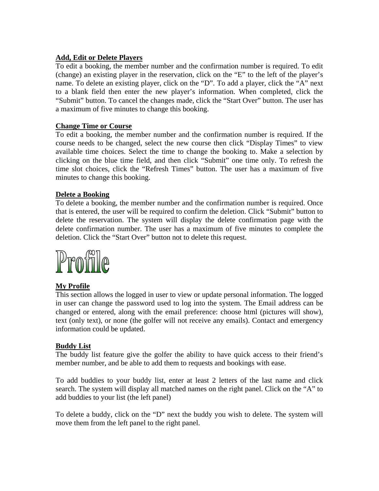#### **Add, Edit or Delete Players**

To edit a booking, the member number and the confirmation number is required. To edit (change) an existing player in the reservation, click on the "E" to the left of the player's name. To delete an existing player, click on the "D". To add a player, click the "A" next to a blank field then enter the new player's information. When completed, click the "Submit" button. To cancel the changes made, click the "Start Over" button. The user has a maximum of five minutes to change this booking.

#### **Change Time or Course**

To edit a booking, the member number and the confirmation number is required. If the course needs to be changed, select the new course then click "Display Times" to view available time choices. Select the time to change the booking to. Make a selection by clicking on the blue time field, and then click "Submit" one time only. To refresh the time slot choices, click the "Refresh Times" button. The user has a maximum of five minutes to change this booking.

#### **Delete a Booking**

To delete a booking, the member number and the confirmation number is required. Once that is entered, the user will be required to confirm the deletion. Click "Submit" button to delete the reservation. The system will display the delete confirmation page with the delete confirmation number. The user has a maximum of five minutes to complete the deletion. Click the "Start Over" button not to delete this request.



#### **My Profile**

This section allows the logged in user to view or update personal information. The logged in user can change the password used to log into the system. The Email address can be changed or entered, along with the email preference: choose html (pictures will show), text (only text), or none (the golfer will not receive any emails). Contact and emergency information could be updated.

#### **Buddy List**

The buddy list feature give the golfer the ability to have quick access to their friend's member number, and be able to add them to requests and bookings with ease.

To add buddies to your buddy list, enter at least 2 letters of the last name and click search. The system will display all matched names on the right panel. Click on the "A" to add buddies to your list (the left panel)

To delete a buddy, click on the "D" next the buddy you wish to delete. The system will move them from the left panel to the right panel.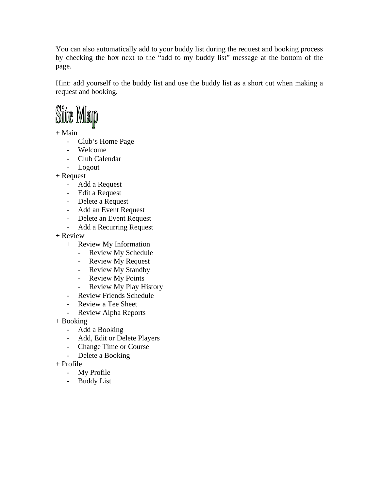You can also automatically add to your buddy list during the request and booking process by checking the box next to the "add to my buddy list" message at the bottom of the page.

Hint: add yourself to the buddy list and use the buddy list as a short cut when making a request and booking.



+ Main

- Club's Home Page
- Welcome
- Club Calendar
- Logout

+ Request

- Add a Request
- Edit a Request
- Delete a Request
- Add an Event Request
- Delete an Event Request
- Add a Recurring Request

+ Review

- + Review My Information
	- Review My Schedule
	- Review My Request
	- Review My Standby
	- Review My Points
	- Review My Play History
- Review Friends Schedule
- Review a Tee Sheet
- Review Alpha Reports

+ Booking

- Add a Booking
- Add, Edit or Delete Players
- Change Time or Course
- Delete a Booking
- + Profile
	- My Profile
	- Buddy List